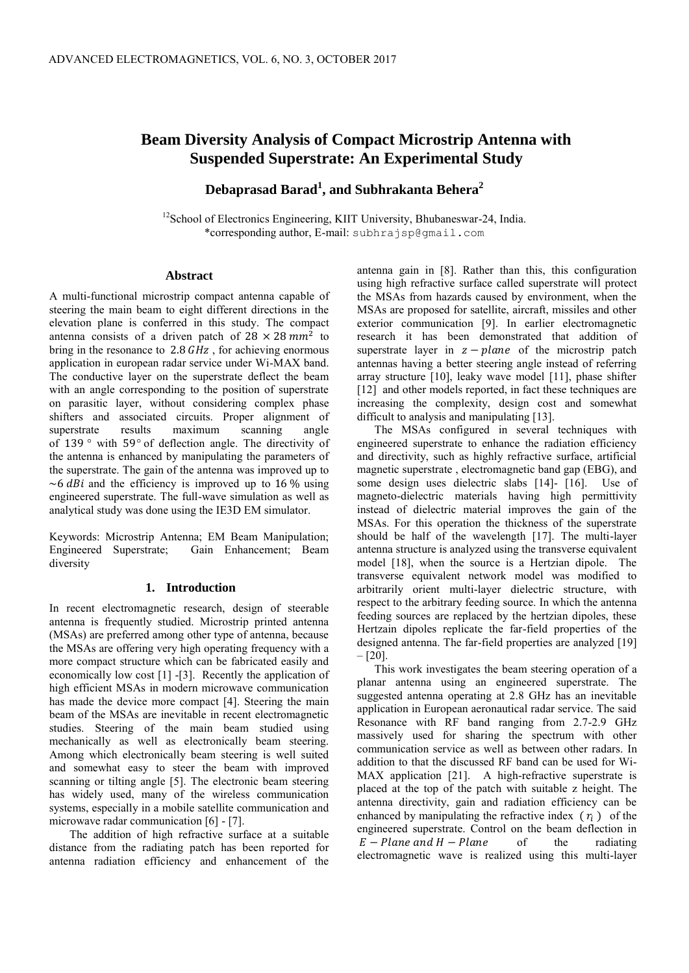# **Beam Diversity Analysis of Compact Microstrip Antenna with Suspended Superstrate: An Experimental Study**

**Debaprasad Barad<sup>1</sup> , and Subhrakanta Behera<sup>2</sup>**

<sup>12</sup> School of Electronics Engineering, KIIT University, Bhubaneswar-24, India. \*corresponding author, E-mail: subhrajsp@gmail.com

# **Abstract**

A multi-functional microstrip compact antenna capable of steering the main beam to eight different directions in the elevation plane is conferred in this study. The compact antenna consists of a driven patch of  $28 \times 28$  mm<sup>2</sup> to bring in the resonance to 2.8  $GHz$ , for achieving enormous application in european radar service under Wi-MAX band. The conductive layer on the superstrate deflect the beam with an angle corresponding to the position of superstrate on parasitic layer, without considering complex phase shifters and associated circuits. Proper alignment of superstrate results maximum scanning angle of 139 $\degree$  with 59 $\degree$  of deflection angle. The directivity of the antenna is enhanced by manipulating the parameters of the superstrate. The gain of the antenna was improved up to  $\sim$ 6 dBi and the efficiency is improved up to 16 % using engineered superstrate. The full-wave simulation as well as analytical study was done using the IE3D EM simulator.

Keywords: Microstrip Antenna; EM Beam Manipulation; Gain Enhancement; Beam diversity

# **1. Introduction**

In recent electromagnetic research, design of steerable antenna is frequently studied. Microstrip printed antenna (MSAs) are preferred among other type of antenna, because the MSAs are offering very high operating frequency with a more compact structure which can be fabricated easily and economically low cost [1] -[3]. Recently the application of high efficient MSAs in modern microwave communication has made the device more compact [4]. Steering the main beam of the MSAs are inevitable in recent electromagnetic studies. Steering of the main beam studied using mechanically as well as electronically beam steering. Among which electronically beam steering is well suited and somewhat easy to steer the beam with improved scanning or tilting angle [5]. The electronic beam steering has widely used, many of the wireless communication systems, especially in a mobile satellite communication and microwave radar communication [6] - [7].

 The addition of high refractive surface at a suitable distance from the radiating patch has been reported for antenna radiation efficiency and enhancement of the antenna gain in [8]. Rather than this, this configuration using high refractive surface called superstrate will protect the MSAs from hazards caused by environment, when the MSAs are proposed for satellite, aircraft, missiles and other exterior communication [9]. In earlier electromagnetic research it has been demonstrated that addition of superstrate layer in  $z$  - plane of the microstrip patch antennas having a better steering angle instead of referring array structure [10], leaky wave model [11], phase shifter [12] and other models reported, in fact these techniques are increasing the complexity, design cost and somewhat difficult to analysis and manipulating [13].

The MSAs configured in several techniques with engineered superstrate to enhance the radiation efficiency and directivity, such as highly refractive surface, artificial magnetic superstrate , electromagnetic band gap (EBG), and some design uses dielectric slabs [14]- [16]. Use of magneto-dielectric materials having high permittivity instead of dielectric material improves the gain of the MSAs. For this operation the thickness of the superstrate should be half of the wavelength [17]. The multi-layer antenna structure is analyzed using the transverse equivalent model [18], when the source is a Hertzian dipole. The transverse equivalent network model was modified to arbitrarily orient multi-layer dielectric structure, with respect to the arbitrary feeding source. In which the antenna feeding sources are replaced by the hertzian dipoles, these Hertzain dipoles replicate the far-field properties of the designed antenna. The far-field properties are analyzed [19]  $-$  [20].

This work investigates the beam steering operation of a planar antenna using an engineered superstrate. The suggested antenna operating at 2.8 GHz has an inevitable application in European aeronautical radar service. The said Resonance with RF band ranging from 2.7-2.9 GHz massively used for sharing the spectrum with other communication service as well as between other radars. In addition to that the discussed RF band can be used for Wi-MAX application [21]. A high-refractive superstrate is placed at the top of the patch with suitable z height. The antenna directivity, gain and radiation efficiency can be enhanced by manipulating the refractive index  $(\tau_i)$  of the engineered superstrate. Control on the beam deflection in  $E$  – Plane and H – Plane of the radiating electromagnetic wave is realized using this multi-layer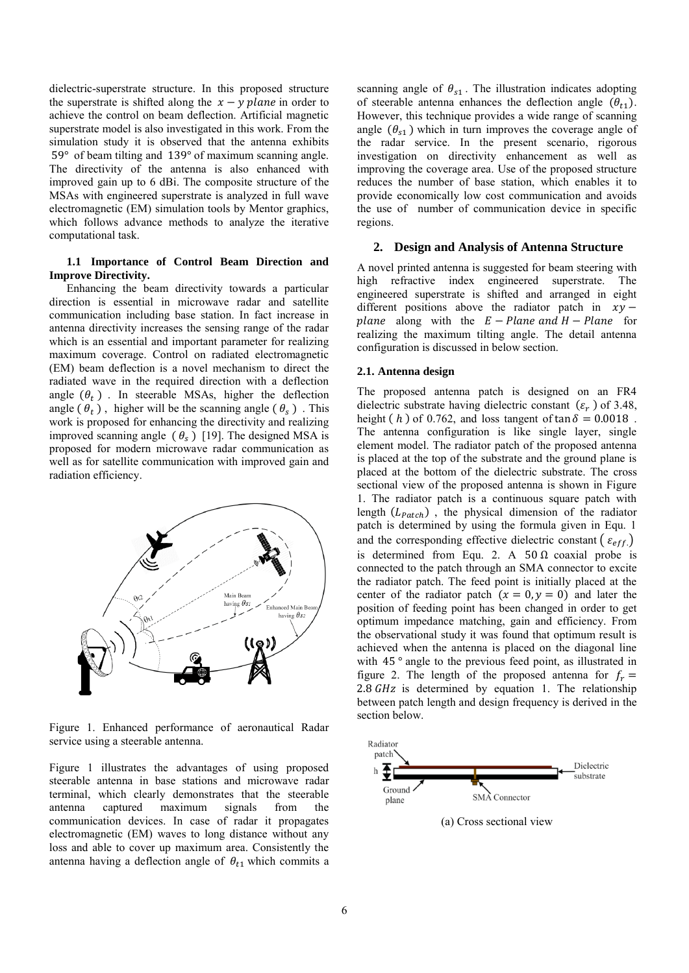dielectric-superstrate structure. In this proposed structure the superstrate is shifted along the  $x - y$  plane in order to achieve the control on beam deflection. Artificial magnetic superstrate model is also investigated in this work. From the simulation study it is observed that the antenna exhibits  $59°$  of beam tilting and  $139°$  of maximum scanning angle. The directivity of the antenna is also enhanced with improved gain up to 6 dBi. The composite structure of the MSAs with engineered superstrate is analyzed in full wave electromagnetic (EM) simulation tools by Mentor graphics, which follows advance methods to analyze the iterative computational task.

## **1.1 Importance of Control Beam Direction and Improve Directivity.**

Enhancing the beam directivity towards a particular direction is essential in microwave radar and satellite communication including base station. In fact increase in antenna directivity increases the sensing range of the radar which is an essential and important parameter for realizing maximum coverage. Control on radiated electromagnetic (EM) beam deflection is a novel mechanism to direct the radiated wave in the required direction with a deflection angle  $(\theta_t)$ . In steerable MSAs, higher the deflection angle  $(\theta_t)$ , higher will be the scanning angle  $(\theta_s)$ . This work is proposed for enhancing the directivity and realizing improved scanning angle  $(\theta_s)$  [19]. The designed MSA is proposed for modern microwave radar communication as well as for satellite communication with improved gain and radiation efficiency.



Figure 1. Enhanced performance of aeronautical Radar service using a steerable antenna.

Figure 1 illustrates the advantages of using proposed steerable antenna in base stations and microwave radar terminal, which clearly demonstrates that the steerable antenna captured maximum signals from the communication devices. In case of radar it propagates electromagnetic (EM) waves to long distance without any loss and able to cover up maximum area. Consistently the antenna having a deflection angle of  $\theta_{t1}$  which commits a scanning angle of  $\theta_{s1}$ . The illustration indicates adopting of steerable antenna enhances the deflection angle  $(\theta_{t_1})$ . However, this technique provides a wide range of scanning angle  $(\theta_{s1})$  which in turn improves the coverage angle of the radar service. In the present scenario, rigorous investigation on directivity enhancement as well as improving the coverage area. Use of the proposed structure reduces the number of base station, which enables it to provide economically low cost communication and avoids the use of number of communication device in specific regions.

# **2. Design and Analysis of Antenna Structure**

A novel printed antenna is suggested for beam steering with high refractive index engineered superstrate. The engineered superstrate is shifted and arranged in eight different positions above the radiator patch in  $xy$ plane along with the  $E -$ Plane and  $H -$ Plane for realizing the maximum tilting angle. The detail antenna configuration is discussed in below section.

#### **2.1. Antenna design**

The proposed antenna patch is designed on an FR4 dielectric substrate having dielectric constant  $(\varepsilon_r)$  of 3.48, height (h) of 0.762, and loss tangent of  $\tan \delta = 0.0018$ . The antenna configuration is like single layer, single element model. The radiator patch of the proposed antenna is placed at the top of the substrate and the ground plane is placed at the bottom of the dielectric substrate. The cross sectional view of the proposed antenna is shown in Figure 1. The radiator patch is a continuous square patch with length  $(L_{patch})$ , the physical dimension of the radiator patch is determined by using the formula given in Equ. 1 and the corresponding effective dielectric constant ( $\varepsilon_{eff}$ ) is determined from Equ. 2. A  $50 \Omega$  coaxial probe is connected to the patch through an SMA connector to excite the radiator patch. The feed point is initially placed at the center of the radiator patch  $(x = 0, y = 0)$  and later the position of feeding point has been changed in order to get optimum impedance matching, gain and efficiency. From the observational study it was found that optimum result is achieved when the antenna is placed on the diagonal line with  $45^\circ$  angle to the previous feed point, as illustrated in figure 2. The length of the proposed antenna for  $f_r =$  $2.8$  GHz is determined by equation 1. The relationship between patch length and design frequency is derived in the section below.



(a) Cross sectional view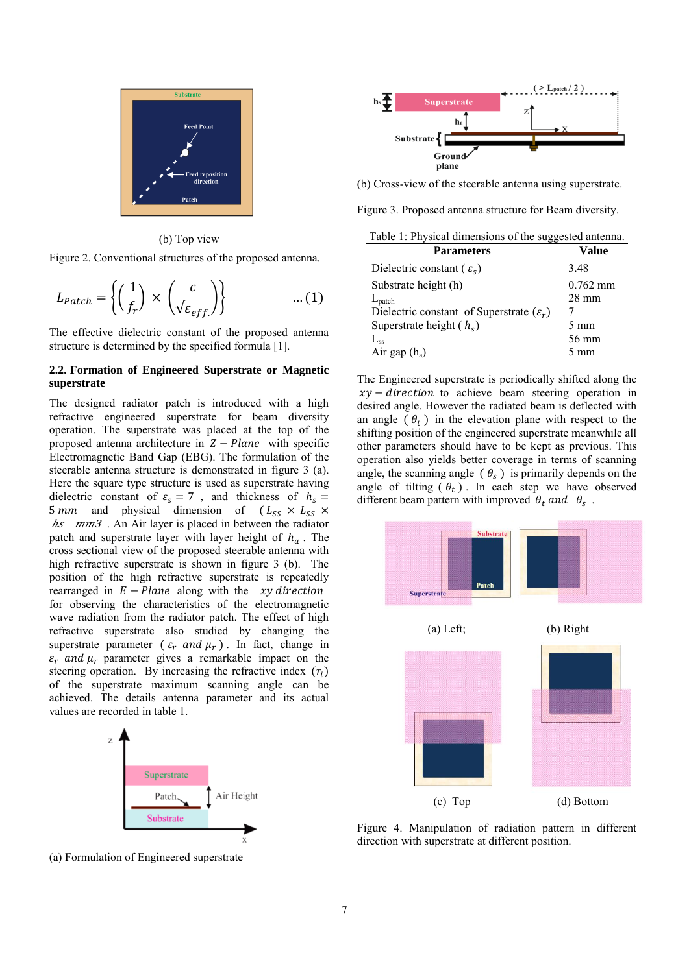

(b) Top view

Figure 2. Conventional structures of the proposed antenna.

$$
L_{patch} = \left\{ \left( \frac{1}{f_r} \right) \times \left( \frac{c}{\sqrt{\varepsilon_{eff}}} \right) \right\} \qquad \dots (1)
$$

The effective dielectric constant of the proposed antenna structure is determined by the specified formula [1].

# **2.2. Formation of Engineered Superstrate or Magnetic superstrate**

The designed radiator patch is introduced with a high refractive engineered superstrate for beam diversity operation. The superstrate was placed at the top of the proposed antenna architecture in  $Z - Plane$  with specific Electromagnetic Band Gap (EBG). The formulation of the steerable antenna structure is demonstrated in figure 3 (a). Here the square type structure is used as superstrate having dielectric constant of  $\varepsilon_s = 7$ , and thickness of  $h_s =$ 5 mm and physical dimension of  $(L_{SS} \times L_{SS} \times$  $\hbar s$   $mm3$ . An Air layer is placed in between the radiator patch and superstrate layer with layer height of  $h_a$ . The cross sectional view of the proposed steerable antenna with high refractive superstrate is shown in figure 3 (b). The position of the high refractive superstrate is repeatedly rearranged in  $E - Plane$  along with the *xy direction* for observing the characteristics of the electromagnetic wave radiation from the radiator patch. The effect of high refractive superstrate also studied by changing the superstrate parameter ( $\varepsilon_r$  and  $\mu_r$ ). In fact, change in  $\varepsilon_r$  and  $\mu_r$  parameter gives a remarkable impact on the steering operation. By increasing the refractive index  $(r_i)$ of the superstrate maximum scanning angle can be achieved. The details antenna parameter and its actual values are recorded in table 1.



(a) Formulation of Engineered superstrate



(b) Cross-view of the steerable antenna using superstrate.

Figure 3. Proposed antenna structure for Beam diversity.

Table 1: Physical dimensions of the suggested antenna.

| <b>Parameters</b>                                    | Value           |
|------------------------------------------------------|-----------------|
| Dielectric constant ( $\varepsilon_s$ )              | 3.48            |
| Substrate height (h)                                 | $0.762$ mm      |
| $L_{\text{patch}}$                                   | $28 \text{ mm}$ |
| Dielectric constant of Superstrate $(\varepsilon_r)$ |                 |
| Superstrate height $(h_s)$                           | $5 \text{ mm}$  |
| $L_{ss}$                                             | 56 mm           |
| Air gap $(h_a)$                                      | $5 \text{ mm}$  |

The Engineered superstrate is periodically shifted along the  $xy$  – direction to achieve beam steering operation in desired angle. However the radiated beam is deflected with an angle  $(\theta_t)$  in the elevation plane with respect to the shifting position of the engineered superstrate meanwhile all other parameters should have to be kept as previous. This operation also yields better coverage in terms of scanning angle, the scanning angle  $(\theta_s)$  is primarily depends on the angle of tilting  $(\theta_t)$ . In each step we have observed different beam pattern with improved  $\theta_t$  and  $\theta_s$ .



Figure 4. Manipulation of radiation pattern in different direction with superstrate at different position.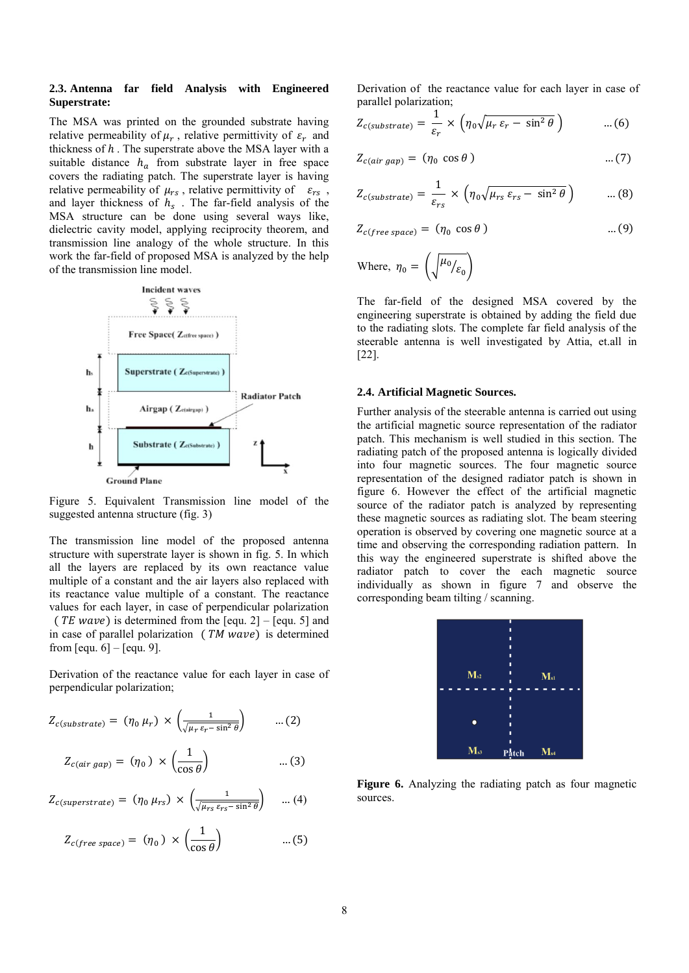#### **2.3. Antenna far field Analysis with Engineered Superstrate:**

The MSA was printed on the grounded substrate having relative permeability of  $\mu_r$ , relative permittivity of  $\varepsilon_r$  and thickness of  $h$ . The superstrate above the MSA layer with a suitable distance  $h_a$  from substrate layer in free space covers the radiating patch. The superstrate layer is having relative permeability of  $\mu_{rs}$ , relative permittivity of  $\varepsilon_{rs}$ , and layer thickness of  $h_s$ . The far-field analysis of the MSA structure can be done using several ways like, dielectric cavity model, applying reciprocity theorem, and transmission line analogy of the whole structure. In this work the far-field of proposed MSA is analyzed by the help of the transmission line model.



Figure 5. Equivalent Transmission line model of the suggested antenna structure (fig. 3)

The transmission line model of the proposed antenna structure with superstrate layer is shown in fig. 5. In which all the layers are replaced by its own reactance value multiple of a constant and the air layers also replaced with its reactance value multiple of a constant. The reactance values for each layer, in case of perpendicular polarization (*TE wave*) is determined from the [equ. 2] – [equ. 5] and in case of parallel polarization  $(TM wave)$  is determined from  $[equ. 6] - [equ. 9]$ .

Derivation of the reactance value for each layer in case of perpendicular polarization;

$$
Z_{c(substrate)} = (\eta_0 \,\mu_r) \times \left(\frac{1}{\sqrt{\mu_r \,\varepsilon_r - \sin^2 \theta}}\right) \qquad \dots (2)
$$

$$
Z_{c-air\,gap}) = (\eta_0) \times \left(\frac{1}{\cos \theta}\right) \qquad \qquad \dots (3)
$$

$$
Z_{c(superstrate)} = (\eta_0 \,\mu_{rs}) \times \left(\frac{1}{\sqrt{\mu_{rs} \,\varepsilon_{rs} - \sin^2 \theta}}\right) \quad \dots (4)
$$

$$
Z_{c(free\ space)} = (\eta_0) \times \left(\frac{1}{\cos\theta}\right) \qquad \qquad \dots (5)
$$

Derivation of the reactance value for each layer in case of parallel polarization;

$$
Z_{c(substrate)} = \frac{1}{\varepsilon_r} \times \left( \eta_0 \sqrt{\mu_r \varepsilon_r - \sin^2 \theta} \right) \qquad \dots (6)
$$

$$
Z_{c-air\ gap}) = (\eta_0 \cos \theta)
$$
 ... (7)

$$
Z_{c(substrate)} = \frac{1}{\varepsilon_{rs}} \times \left( \eta_0 \sqrt{\mu_{rs} \varepsilon_{rs} - \sin^2 \theta} \right) \qquad \dots (8)
$$

$$
Z_{c(free\ space)} = (\eta_0 \ cos \theta)
$$
 ... (9)

Where, 
$$
\eta_0 = \left(\sqrt{\frac{\mu_0}{\varepsilon_0}}\right)
$$

The far-field of the designed MSA covered by the engineering superstrate is obtained by adding the field due to the radiating slots. The complete far field analysis of the steerable antenna is well investigated by Attia, et.all in [22].

#### **2.4. Artificial Magnetic Sources.**

Further analysis of the steerable antenna is carried out using the artificial magnetic source representation of the radiator patch. This mechanism is well studied in this section. The radiating patch of the proposed antenna is logically divided into four magnetic sources. The four magnetic source representation of the designed radiator patch is shown in figure 6. However the effect of the artificial magnetic source of the radiator patch is analyzed by representing these magnetic sources as radiating slot. The beam steering operation is observed by covering one magnetic source at a time and observing the corresponding radiation pattern. In this way the engineered superstrate is shifted above the radiator patch to cover the each magnetic source individually as shown in figure 7 and observe the corresponding beam tilting / scanning.



**Figure 6.** Analyzing the radiating patch as four magnetic sources.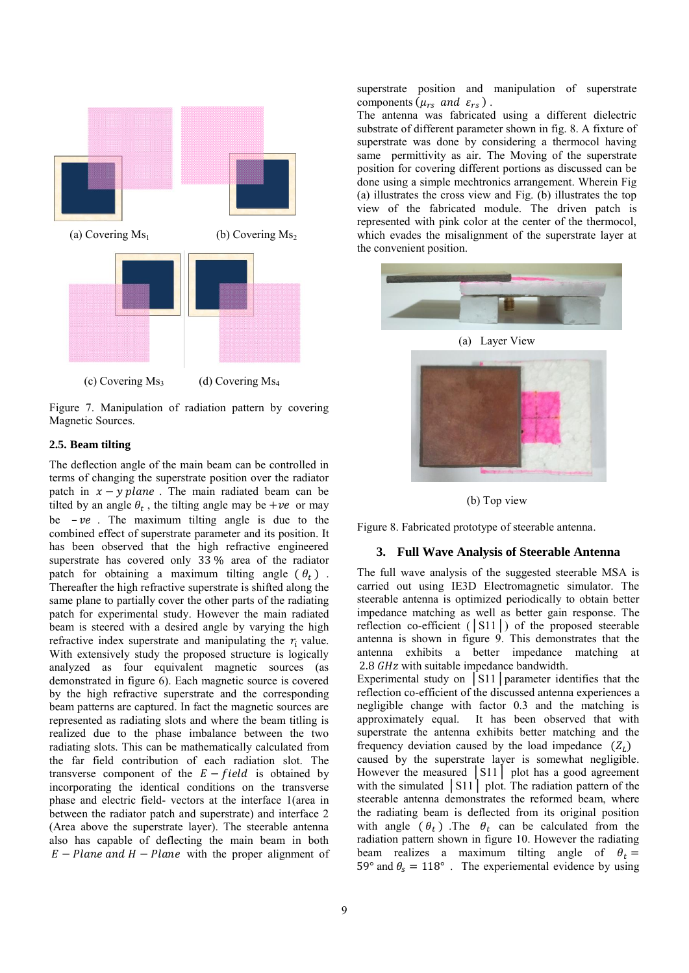

Figure 7. Manipulation of radiation pattern by covering Magnetic Sources.

## **2.5. Beam tilting**

The deflection angle of the main beam can be controlled in terms of changing the superstrate position over the radiator patch in  $x - y$  plane. The main radiated beam can be tilted by an angle  $\theta_t$ , the tilting angle may be +ve or may be  $-ve$ . The maximum tilting angle is due to the combined effect of superstrate parameter and its position. It has been observed that the high refractive engineered superstrate has covered only  $33\%$  area of the radiator patch for obtaining a maximum tilting angle  $(\theta_t)$ . Thereafter the high refractive superstrate is shifted along the same plane to partially cover the other parts of the radiating patch for experimental study. However the main radiated beam is steered with a desired angle by varying the high refractive index superstrate and manipulating the  $r_i$  value. With extensively study the proposed structure is logically analyzed as four equivalent magnetic sources (as demonstrated in figure 6). Each magnetic source is covered by the high refractive superstrate and the corresponding beam patterns are captured. In fact the magnetic sources are represented as radiating slots and where the beam titling is realized due to the phase imbalance between the two radiating slots. This can be mathematically calculated from the far field contribution of each radiation slot. The transverse component of the  $E$  – field is obtained by incorporating the identical conditions on the transverse phase and electric field- vectors at the interface 1(area in between the radiator patch and superstrate) and interface 2 (Area above the superstrate layer). The steerable antenna also has capable of deflecting the main beam in both  $E$  – Plane and H – Plane with the proper alignment of

superstrate position and manipulation of superstrate components ( $\mu_{rs}$  and  $\varepsilon_{rs}$ ).

The antenna was fabricated using a different dielectric substrate of different parameter shown in fig. 8. A fixture of superstrate was done by considering a thermocol having same permittivity as air. The Moving of the superstrate position for covering different portions as discussed can be done using a simple mechtronics arrangement. Wherein Fig (a) illustrates the cross view and Fig. (b) illustrates the top view of the fabricated module. The driven patch is represented with pink color at the center of the thermocol, which evades the misalignment of the superstrate layer at the convenient position.



(a) Layer View



(b) Top view

Figure 8. Fabricated prototype of steerable antenna.

# **3. Full Wave Analysis of Steerable Antenna**

The full wave analysis of the suggested steerable MSA is carried out using IE3D Electromagnetic simulator. The steerable antenna is optimized periodically to obtain better impedance matching as well as better gain response. The reflection co-efficient (│S11│) of the proposed steerable antenna is shown in figure 9. This demonstrates that the antenna exhibits a better impedance matching at 2.8 GHz with suitable impedance bandwidth.

Experimental study on │S11│parameter identifies that the reflection co-efficient of the discussed antenna experiences a negligible change with factor 0.3 and the matching is approximately equal. It has been observed that with superstrate the antenna exhibits better matching and the frequency deviation caused by the load impedance  $(Z_L)$ caused by the superstrate layer is somewhat negligible. However the measured │S11│ plot has a good agreement with the simulated  $\begin{bmatrix} \text{S}11 \\ \text{P}11 \end{bmatrix}$  plot. The radiation pattern of the steerable antenna demonstrates the reformed beam, where the radiating beam is deflected from its original position with angle  $(\theta_t)$ . The  $\theta_t$  can be calculated from the radiation pattern shown in figure 10. However the radiating beam realizes a maximum tilting angle of  $\theta_t =$ 59° and  $\theta_s = 118$ °. The experiemental evidence by using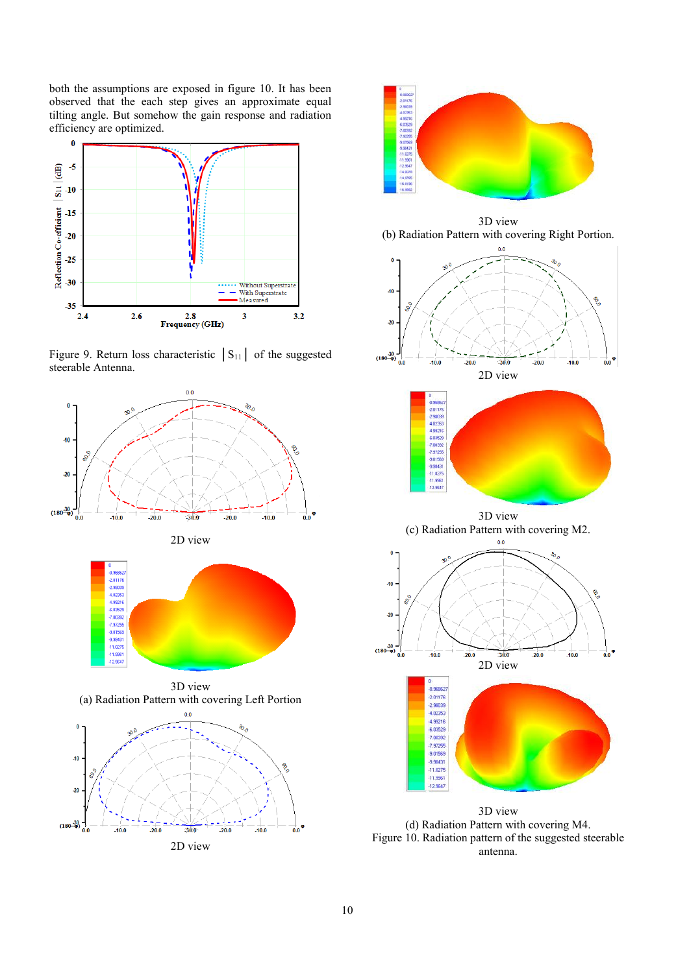both the assumptions are exposed in figure 10. It has been observed that the each step gives an approximate equal tilting angle. But somehow the gain response and radiation efficiency are optimized.



Figure 9. Return loss characteristic  $|S_{11}|$  of the suggested steerable Antenna.





Figure 10. Radiation pattern of the suggested steerable antenna.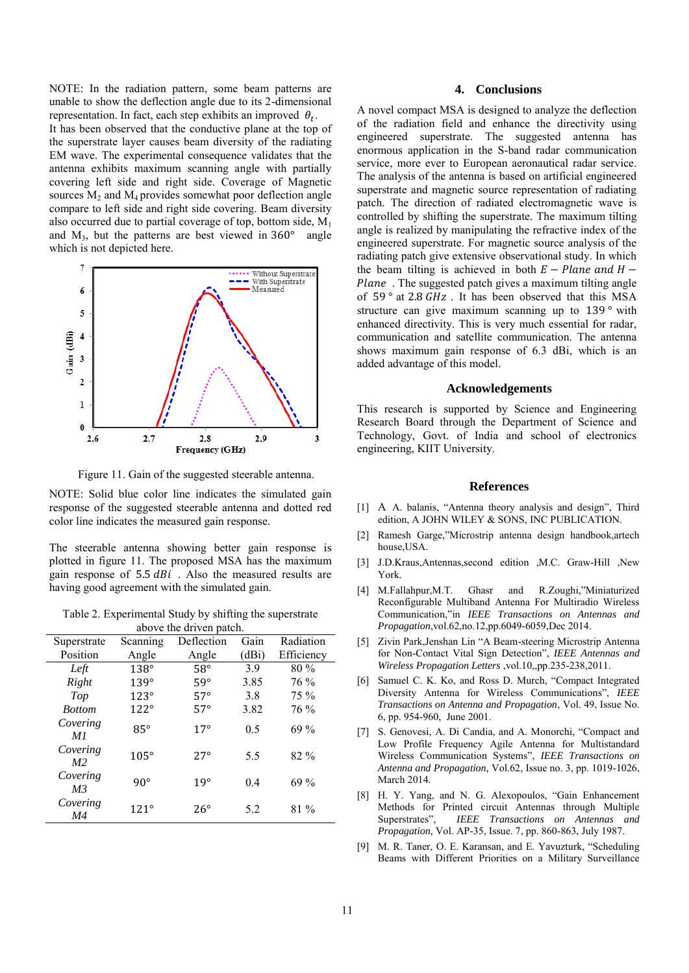NOTE: In the radiation pattern, some beam patterns are unable to show the deflection angle due to its 2-dimensional representation. In fact, each step exhibits an improved  $\theta_t$ . It has been observed that the conductive plane at the top of the superstrate layer causes beam diversity of the radiating EM wave. The experimental consequence validates that the antenna exhibits maximum scanning angle with partially

covering left side and right side. Coverage of Magnetic sources  $M_2$  and  $M_4$  provides somewhat poor deflection angle compare to left side and right side covering. Beam diversity also occurred due to partial coverage of top, bottom side,  $M_1$ and  $M_3$ , but the patterns are best viewed in 360 $^{\circ}$  angle which is not depicted here.



Figure 11. Gain of the suggested steerable antenna.

NOTE: Solid blue color line indicates the simulated gain response of the suggested steerable antenna and dotted red color line indicates the measured gain response.

The steerable antenna showing better gain response is plotted in figure 11. The proposed MSA has the maximum gain response of  $5.5$   $dBi$ . Also the measured results are having good agreement with the simulated gain.

Table 2. Experimental Study by shifting the superstrate above the driven patch.

| above the uriver patent.   |               |              |       |            |  |
|----------------------------|---------------|--------------|-------|------------|--|
| Superstrate                | Scanning      | Deflection   | Gain  | Radiation  |  |
| Position                   | Angle         | Angle        | (dBi) | Efficiency |  |
| Left                       | $138^\circ$   | $58^\circ$   | 39    | $80\%$     |  |
| Right                      | $139^\circ$   | $59^\circ$   | 3.85  | 76 %       |  |
| Top                        | $123^\circ$   | $57^\circ$   | 3.8   | 75 %       |  |
| <b>Bottom</b>              | $122^\circ$   | $57^\circ$   | 3.82  | 76 %       |  |
| Covering<br>M1             | $85^\circ$    | $17^{\circ}$ | 0.5   | $69\%$     |  |
| Covering<br>M <sub>2</sub> | $105^\circ$   | $27^\circ$   | 5.5   | 82 %       |  |
| Covering<br>M <sub>3</sub> | $90^\circ$    | 19°          | 0.4   | $69\%$     |  |
| Covering<br>M4             | $121^{\circ}$ | $26^{\circ}$ | 5.2   | 81 %       |  |

# **4. Conclusions**

A novel compact MSA is designed to analyze the deflection of the radiation field and enhance the directivity using engineered superstrate. The suggested antenna has enormous application in the S-band radar communication service, more ever to European aeronautical radar service. The analysis of the antenna is based on artificial engineered superstrate and magnetic source representation of radiating patch. The direction of radiated electromagnetic wave is controlled by shifting the superstrate. The maximum tilting angle is realized by manipulating the refractive index of the engineered superstrate. For magnetic source analysis of the radiating patch give extensive observational study. In which the beam tilting is achieved in both  $E - Plane$  and  $H -$ Plane. The suggested patch gives a maximum tilting angle of 59 $^{\circ}$  at 2.8 GHz. It has been observed that this MSA structure can give maximum scanning up to  $139°$  with enhanced directivity. This is very much essential for radar, communication and satellite communication. The antenna shows maximum gain response of 6.3 dBi, which is an added advantage of this model.

# **Acknowledgements**

This research is supported by Science and Engineering Research Board through the Department of Science and Technology, Govt. of India and school of electronics engineering, KIIT University.

## **References**

- [1] A A. balanis, "Antenna theory analysis and design", Third edition, A JOHN WILEY & SONS, INC PUBLICATION.
- [2] Ramesh Garge,"Microstrip antenna design handbook,artech house,USA.
- [3] J.D.Kraus,Antennas,second edition ,M.C. Graw-Hill ,New York.
- [4] M.Fallahpur,M.T. Ghasr and R.Zoughi,"Miniaturized Reconfigurable Multiband Antenna For Multiradio Wireless Communication,"in *IEEE Transactions on Antennas and Propagation*,vol.62,no.12,pp.6049-6059,Dec 2014.
- [5] Zivin Park,Jenshan Lin "A Beam-steering Microstrip Antenna for Non-Contact Vital Sign Detection", *IEEE Antennas and Wireless Propagation Letters* ,vol.10,,pp.235-238,2011.
- [6] Samuel C. K. Ko, and Ross D. Murch, "Compact Integrated Diversity Antenna for Wireless Communications", *IEEE Transactions on Antenna and Propagation*, Vol. 49, Issue No. 6, pp. 954-960, June 2001.
- [7] S. Genovesi, A. Di Candia, and A. Monorchi, "Compact and Low Profile Frequency Agile Antenna for Multistandard Wireless Communication Systems", *IEEE Transactions on Antenna and Propagation,* Vol.62, Issue no. 3, pp. 1019-1026, March 2014.
- [8] H. Y. Yang, and N. G. Alexopoulos, "Gain Enhancement Methods for Printed circuit Antennas through Multiple Superstrates", *IEEE Transactions on Antennas and Propagation,* Vol. AP-35, Issue. 7, pp. 860-863, July 1987.
- [9] M. R. Taner, O. E. Karansan, and E. Yavuzturk, "Scheduling Beams with Different Priorities on a Military Surveillance